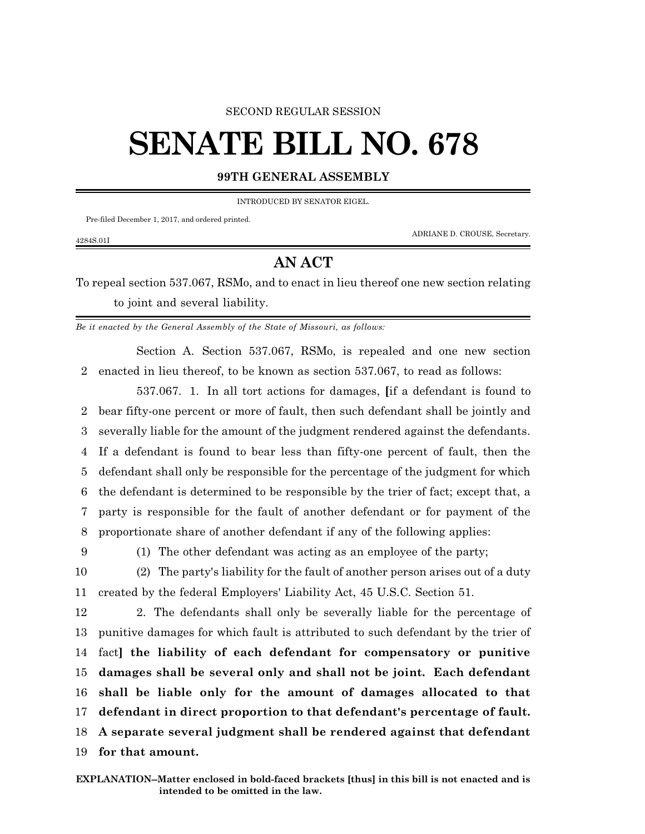## SECOND REGULAR SESSION

## **SENATE BILL NO. 678**

## **99TH GENERAL ASSEMBLY**

INTRODUCED BY SENATOR EIGEL.

Pre-filed December 1, 2017, and ordered printed.

ADRIANE D. CROUSE, Secretary.

## **AN ACT**

To repeal section 537.067, RSMo, and to enact in lieu thereof one new section relating to joint and several liability.

*Be it enacted by the General Assembly of the State of Missouri, as follows:*

Section A. Section 537.067, RSMo, is repealed and one new section 2 enacted in lieu thereof, to be known as section 537.067, to read as follows:

537.067. 1. In all tort actions for damages, **[**if a defendant is found to bear fifty-one percent or more of fault, then such defendant shall be jointly and severally liable for the amount of the judgment rendered against the defendants. If a defendant is found to bear less than fifty-one percent of fault, then the defendant shall only be responsible for the percentage of the judgment for which the defendant is determined to be responsible by the trier of fact; except that, a party is responsible for the fault of another defendant or for payment of the proportionate share of another defendant if any of the following applies:

4284S.01I

9 (1) The other defendant was acting as an employee of the party;

10 (2) The party's liability for the fault of another person arises out of a duty 11 created by the federal Employers' Liability Act, 45 U.S.C. Section 51.

 2. The defendants shall only be severally liable for the percentage of punitive damages for which fault is attributed to such defendant by the trier of fact**] the liability of each defendant for compensatory or punitive damages shall be several only and shall not be joint. Each defendant shall be liable only for the amount of damages allocated to that defendant in direct proportion to that defendant's percentage of fault. A separate several judgment shall be rendered against that defendant for that amount.**